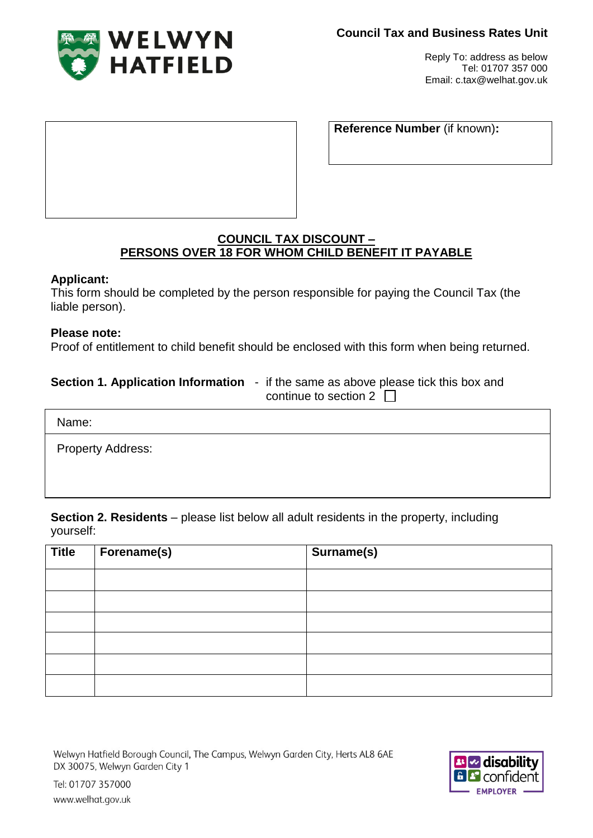

Reply To: address as below Tel: 01707 357 000 Email: c.tax@welhat.gov.uk

**Reference Number** (if known)**:**

# **COUNCIL TAX DISCOUNT – PERSONS OVER 18 FOR WHOM CHILD BENEFIT IT PAYABLE**

# **Applicant:**

This form should be completed by the person responsible for paying the Council Tax (the liable person).

#### **Please note:**

Proof of entitlement to child benefit should be enclosed with this form when being returned.

#### **Section 1. Application Information** - if the same as above please tick this box and continue to section 2  $\Box$

Name:

Property Address:

www.welhat.gov.uk

**Section 2. Residents** – please list below all adult residents in the property, including yourself:

| <b>Title</b> | Forename(s) | Surname(s) |
|--------------|-------------|------------|
|              |             |            |
|              |             |            |
|              |             |            |
|              |             |            |
|              |             |            |
|              |             |            |